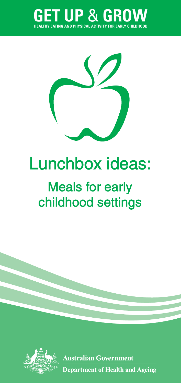



# **Lunchbox ideas:**

# **Meals for early childhood settings**



**Australian Government Department of Health and Ageing**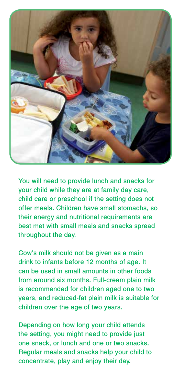

**You will need to provide lunch and snacks for your child while they are at family day care, child care or preschool if the setting does not offer meals. Children have small stomachs, so their energy and nutritional requirements are best met with small meals and snacks spread throughout the day.** 

**Cow's milk should not be given as a main drink to infants before 12 months of age. It can be used in small amounts in other foods from around six months. Full-cream plain milk is recommended for children aged one to two years, and reduced-fat plain milk is suitable for children over the age of two years.**

**Depending on how long your child attends the setting, you might need to provide just one snack, or lunch and one or two snacks. Regular meals and snacks help your child to concentrate, play and enjoy their day.**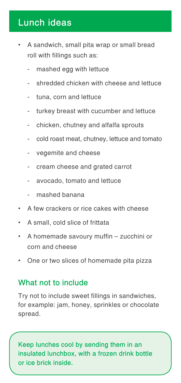# **Lunch ideas**

- A sandwich, small pita wrap or small bread roll with fillings such as:
	- mashed egg with lettuce
	- shredded chicken with cheese and lettuce
	- tuna, corn and lettuce
	- turkey breast with cucumber and lettuce
	- chicken, chutney and alfalfa sprouts
	- cold roast meat, chutney, lettuce and tomato
	- vegemite and cheese
	- cream cheese and grated carrot
	- avocado, tomato and lettuce
	- mashed banana
- A few crackers or rice cakes with cheese
- • A small, cold slice of frittata
- • A homemade savoury muffin zucchini or corn and cheese
- One or two slices of homemade pita pizza

#### **What not to include**

Try not to include sweet fillings in sandwiches, for example: jam, honey, sprinkles or chocolate spread.

**Keep lunches cool by sending them in an insulated lunchbox, with a frozen drink bottle or ice brick inside.**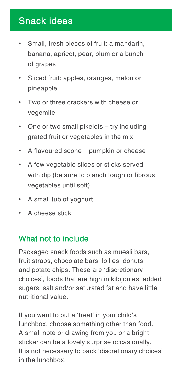### **Snack ideas**

- Small, fresh pieces of fruit: a mandarin, banana, apricot, pear, plum or a bunch of grapes
- Sliced fruit: apples, oranges, melon or pineapple
- Two or three crackers with cheese or vegemite
- One or two small pikelets try including grated fruit or vegetables in the mix
- • A flavoured scone pumpkin or cheese
- A few vegetable slices or sticks served with dip (be sure to blanch tough or fibrous vegetables until soft)
- • A small tub of yoghurt
- • A cheese stick

#### **What not to include**

Packaged snack foods such as muesli bars, fruit straps, chocolate bars, lollies, donuts and potato chips. These are 'discretionary choices', foods that are high in kilojoules, added sugars, salt and/or saturated fat and have little nutritional value.

If you want to put a 'treat' in your child's lunchbox, choose something other than food. A small note or drawing from you or a bright sticker can be a lovely surprise occasionally. It is not necessary to pack 'discretionary choices' in the lunchbox.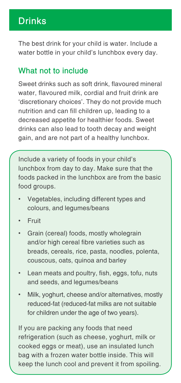## **Drinks**

The best drink for your child is water. Include a water bottle in your child's lunchbox every day.

#### **What not to include**

Sweet drinks such as soft drink, flavoured mineral water, flavoured milk, cordial and fruit drink are 'discretionary choices'. They do not provide much nutrition and can fill children up, leading to a decreased appetite for healthier foods. Sweet drinks can also lead to tooth decay and weight gain, and are not part of a healthy lunchbox.

Include a variety of foods in your child's lunchbox from day to day. Make sure that the foods packed in the lunchbox are from the basic food groups.

- Vegetables, including different types and colours, and legumes/beans
- **Fruit**
- Grain (cereal) foods, mostly wholegrain and/or high cereal fibre varieties such as breads, cereals, rice, pasta, noodles, polenta, couscous, oats, quinoa and barley
- Lean meats and poultry, fish, eggs, tofu, nuts and seeds, and legumes/beans
- Milk, yoghurt, cheese and/or alternatives, mostly reduced-fat (reduced-fat milks are not suitable for children under the age of two years).

If you are packing any foods that need refrigeration (such as cheese, yoghurt, milk or cooked eggs or meat), use an insulated lunch bag with a frozen water bottle inside. This will keep the lunch cool and prevent it from spoiling.